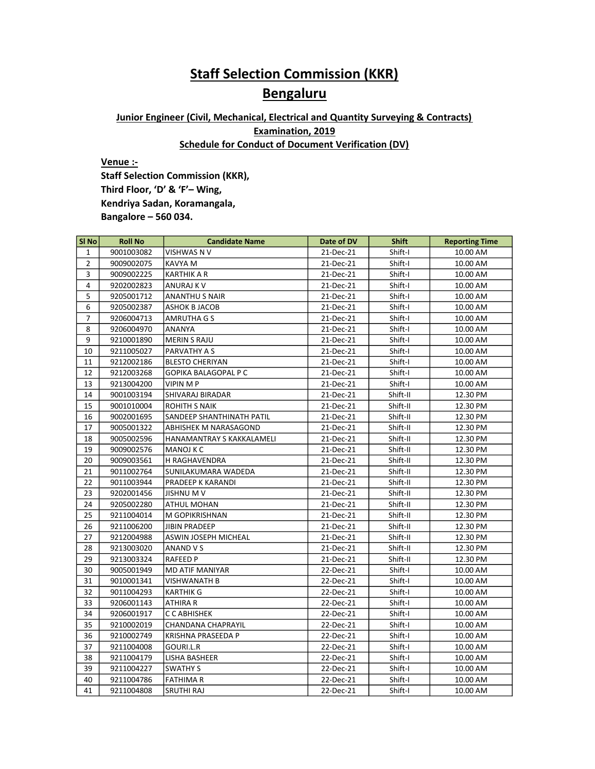## **Staff Selection Commission (KKR)**

## **Bengaluru**

## Junior Engineer (Civil, Mechanical, Electrical and Quantity Surveying & Contracts) Examination, 2019 Schedule for Conduct of Document Verification (DV)

Venue :-

Staff Selection Commission (KKR), Third Floor, 'D' & 'F'– Wing, Kendriya Sadan, Koramangala, Bangalore – 560 034.

| SI <sub>No</sub> | <b>Roll No</b> | <b>Candidate Name</b>       | Date of DV | <b>Shift</b> | <b>Reporting Time</b> |
|------------------|----------------|-----------------------------|------------|--------------|-----------------------|
| $\mathbf{1}$     | 9001003082     | VISHWAS N V                 | 21-Dec-21  | Shift-I      | 10.00 AM              |
| $\overline{2}$   | 9009002075     | <b>KAVYA M</b>              | 21-Dec-21  | Shift-I      | 10.00 AM              |
| 3                | 9009002225     | <b>KARTHIK A R</b>          | 21-Dec-21  | Shift-I      | 10.00 AM              |
| 4                | 9202002823     | ANURAJ K V                  | 21-Dec-21  | Shift-I      | 10.00 AM              |
| 5                | 9205001712     | <b>ANANTHU S NAIR</b>       | 21-Dec-21  | Shift-I      | 10.00 AM              |
| 6                | 9205002387     | ASHOK B JACOB               | 21-Dec-21  | Shift-I      | 10.00 AM              |
| $\overline{7}$   | 9206004713     | AMRUTHA G S                 | 21-Dec-21  | Shift-I      | 10.00 AM              |
| 8                | 9206004970     | <b>ANANYA</b>               | 21-Dec-21  | Shift-I      | 10.00 AM              |
| 9                | 9210001890     | <b>MERIN S RAJU</b>         | 21-Dec-21  | Shift-I      | 10.00 AM              |
| 10               | 9211005027     | PARVATHY A S                | 21-Dec-21  | Shift-I      | 10.00 AM              |
| 11               | 9212002186     | <b>BLESTO CHERIYAN</b>      | 21-Dec-21  | Shift-I      | 10.00 AM              |
| 12               | 9212003268     | <b>GOPIKA BALAGOPAL P C</b> | 21-Dec-21  | Shift-I      | 10.00 AM              |
| 13               | 9213004200     | VIPIN M P                   | 21-Dec-21  | Shift-I      | 10.00 AM              |
| 14               | 9001003194     | SHIVARAJ BIRADAR            | 21-Dec-21  | Shift-II     | 12.30 PM              |
| 15               | 9001010004     | <b>ROHITH S NAIK</b>        | 21-Dec-21  | Shift-II     | 12.30 PM              |
| 16               | 9002001695     | SANDEEP SHANTHINATH PATIL   | 21-Dec-21  | Shift-II     | 12.30 PM              |
| 17               | 9005001322     | ABHISHEK M NARASAGOND       | 21-Dec-21  | Shift-II     | 12.30 PM              |
| 18               | 9005002596     | HANAMANTRAY S KAKKALAMELI   | 21-Dec-21  | Shift-II     | 12.30 PM              |
| 19               | 9009002576     | MANOJ K C                   | 21-Dec-21  | Shift-II     | 12.30 PM              |
| 20               | 9009003561     | H RAGHAVENDRA               | 21-Dec-21  | Shift-II     | 12.30 PM              |
| 21               | 9011002764     | SUNILAKUMARA WADEDA         | 21-Dec-21  | Shift-II     | 12.30 PM              |
| 22               | 9011003944     | PRADEEP K KARANDI           | 21-Dec-21  | Shift-II     | 12.30 PM              |
| 23               | 9202001456     | <b>JISHNU M V</b>           | 21-Dec-21  | Shift-II     | 12.30 PM              |
| 24               | 9205002280     | ATHUL MOHAN                 | 21-Dec-21  | Shift-II     | 12.30 PM              |
| 25               | 9211004014     | M GOPIKRISHNAN              | 21-Dec-21  | Shift-II     | 12.30 PM              |
| 26               | 9211006200     | <b>JIBIN PRADEEP</b>        | 21-Dec-21  | Shift-II     | 12.30 PM              |
| 27               | 9212004988     | ASWIN JOSEPH MICHEAL        | 21-Dec-21  | Shift-II     | 12.30 PM              |
| 28               | 9213003020     | ANAND V S                   | 21-Dec-21  | Shift-II     | 12.30 PM              |
| 29               | 9213003324     | <b>RAFEED P</b>             | 21-Dec-21  | Shift-II     | 12.30 PM              |
| 30               | 9005001949     | <b>MD ATIF MANIYAR</b>      | 22-Dec-21  | Shift-I      | 10.00 AM              |
| 31               | 9010001341     | <b>VISHWANATH B</b>         | 22-Dec-21  | Shift-I      | 10.00 AM              |
| 32               | 9011004293     | <b>KARTHIK G</b>            | 22-Dec-21  | Shift-I      | 10.00 AM              |
| 33               | 9206001143     | ATHIRA R                    | 22-Dec-21  | Shift-I      | 10.00 AM              |
| 34               | 9206001917     | C C ABHISHEK                | 22-Dec-21  | Shift-I      | 10.00 AM              |
| 35               | 9210002019     | <b>CHANDANA CHAPRAYIL</b>   | 22-Dec-21  | Shift-I      | 10.00 AM              |
| 36               | 9210002749     | KRISHNA PRASEEDA P          | 22-Dec-21  | Shift-I      | 10.00 AM              |
| 37               | 9211004008     | GOURI.L.R                   | 22-Dec-21  | Shift-I      | 10.00 AM              |
| 38               | 9211004179     | LISHA BASHEER               | 22-Dec-21  | Shift-I      | 10.00 AM              |
| 39               | 9211004227     | <b>SWATHY S</b>             | 22-Dec-21  | Shift-I      | 10.00 AM              |
| 40               | 9211004786     | <b>FATHIMA R</b>            | 22-Dec-21  | Shift-I      | 10.00 AM              |
| 41               | 9211004808     | <b>SRUTHI RAJ</b>           | 22-Dec-21  | Shift-I      | 10.00 AM              |